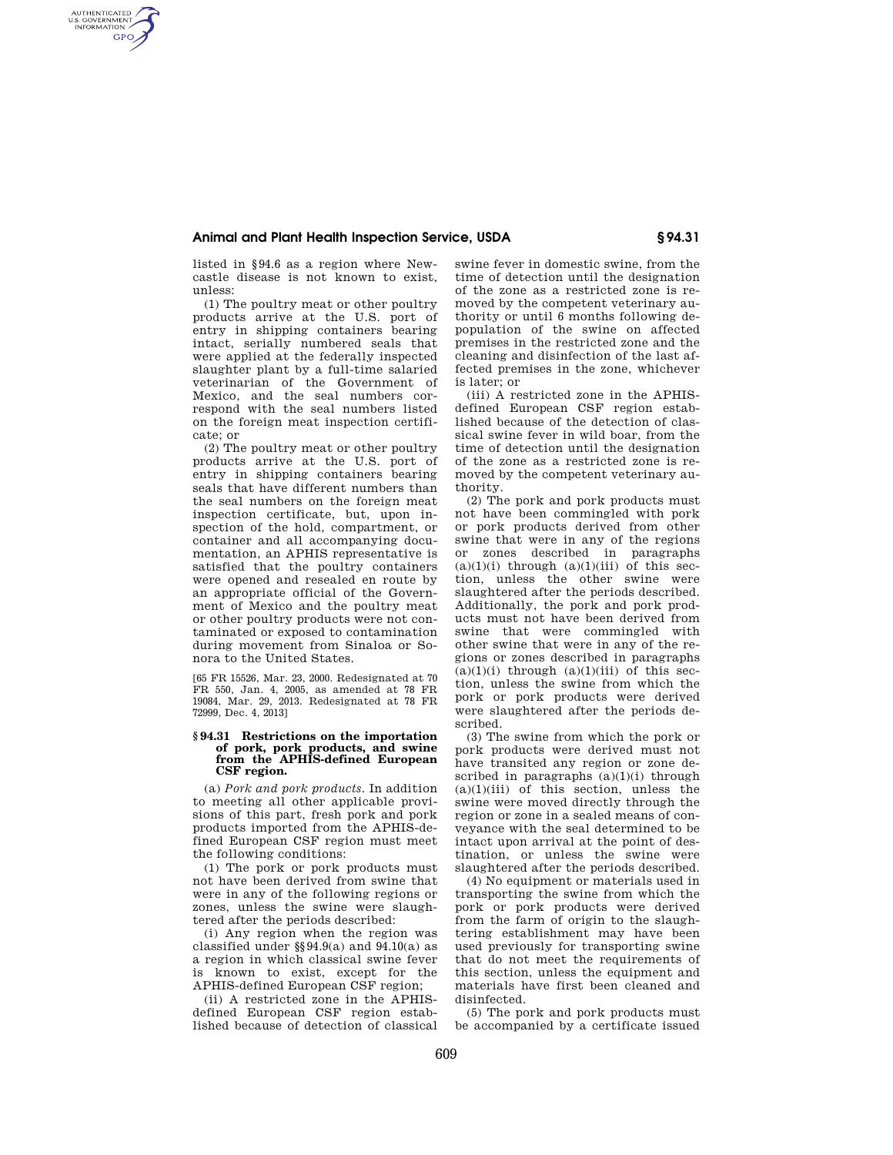## **Animal and Plant Health Inspection Service, USDA § 94.31**

listed in §94.6 as a region where Newcastle disease is not known to exist, unless:

AUTHENTICATED<br>U.S. GOVERNMENT<br>INFORMATION **GPO** 

> (1) The poultry meat or other poultry products arrive at the U.S. port of entry in shipping containers bearing intact, serially numbered seals that were applied at the federally inspected slaughter plant by a full-time salaried veterinarian of the Government of Mexico, and the seal numbers correspond with the seal numbers listed on the foreign meat inspection certificate; or

> (2) The poultry meat or other poultry products arrive at the U.S. port of entry in shipping containers bearing seals that have different numbers than the seal numbers on the foreign meat inspection certificate, but, upon inspection of the hold, compartment, or container and all accompanying documentation, an APHIS representative is satisfied that the poultry containers were opened and resealed en route by an appropriate official of the Government of Mexico and the poultry meat or other poultry products were not contaminated or exposed to contamination during movement from Sinaloa or Sonora to the United States.

> [65 FR 15526, Mar. 23, 2000. Redesignated at 70 FR 550, Jan. 4, 2005, as amended at 78 FR 19084, Mar. 29, 2013. Redesignated at 78 FR 72999, Dec. 4, 2013]

## **§ 94.31 Restrictions on the importation of pork, pork products, and swine from the APHIS-defined European CSF region.**

(a) *Pork and pork products.* In addition to meeting all other applicable provisions of this part, fresh pork and pork products imported from the APHIS-defined European CSF region must meet the following conditions:

(1) The pork or pork products must not have been derived from swine that were in any of the following regions or zones, unless the swine were slaughtered after the periods described:

(i) Any region when the region was classified under  $\S$  $94.9(a)$  and  $94.10(a)$  as a region in which classical swine fever is known to exist, except for the APHIS-defined European CSF region;

(ii) A restricted zone in the APHISdefined European CSF region established because of detection of classical swine fever in domestic swine, from the time of detection until the designation of the zone as a restricted zone is removed by the competent veterinary authority or until 6 months following depopulation of the swine on affected premises in the restricted zone and the cleaning and disinfection of the last affected premises in the zone, whichever is later; or

(iii) A restricted zone in the APHISdefined European CSF region established because of the detection of classical swine fever in wild boar, from the time of detection until the designation of the zone as a restricted zone is removed by the competent veterinary authority.

(2) The pork and pork products must not have been commingled with pork or pork products derived from other swine that were in any of the regions or zones described in paragraphs  $(a)(1)(i)$  through  $(a)(1)(iii)$  of this section, unless the other swine were slaughtered after the periods described. Additionally, the pork and pork products must not have been derived from swine that were commingled with other swine that were in any of the regions or zones described in paragraphs  $(a)(1)(i)$  through  $(a)(1)(iii)$  of this section, unless the swine from which the pork or pork products were derived were slaughtered after the periods described.

(3) The swine from which the pork or pork products were derived must not have transited any region or zone described in paragraphs  $(a)(1)(i)$  through  $(a)(1)(iii)$  of this section, unless the swine were moved directly through the region or zone in a sealed means of conveyance with the seal determined to be intact upon arrival at the point of destination, or unless the swine were slaughtered after the periods described.

(4) No equipment or materials used in transporting the swine from which the pork or pork products were derived from the farm of origin to the slaughtering establishment may have been used previously for transporting swine that do not meet the requirements of this section, unless the equipment and materials have first been cleaned and disinfected.

(5) The pork and pork products must be accompanied by a certificate issued